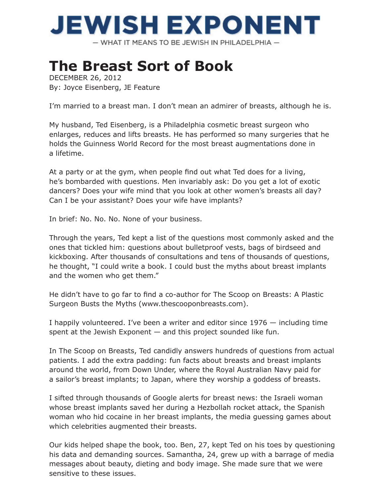## **JEWISH EXPONENT**

- WHAT IT MEANS TO BE JEWISH IN PHILADELPHIA -

## **The Breast Sort of Book**

DECEMBER 26, 2012 By: Joyce Eisenberg, JE Feature

I'm married to a breast man. I don't mean an admirer of breasts, although he is.

My husband, Ted Eisenberg, is a Philadelphia cosmetic breast surgeon who enlarges, reduces and lifts breasts. He has performed so many surgeries that he holds the Guinness World Record for the most breast augmentations done in a lifetime.

At a party or at the gym, when people find out what Ted does for a living, he's bombarded with questions. Men invariably ask: Do you get a lot of exotic dancers? Does your wife mind that you look at other women's breasts all day? -Can I be your assistant? Does your wife have implants?

In brief: No. No. No. None of your business.

Through the years, Ted kept a list of the questions most commonly asked and the ones that tickled him: questions about bulletproof vests, bags of birdseed and kickboxing. After thousands of consultations and tens of thousands of questions, he thought, "I could write a book. I could bust the myths about breast implants and the women who get them."

He didn't have to go far to find a co-author for The Scoop on Breasts: A Plastic Surgeon Busts the Myths (www.thescooponbreasts.com).

I happily volunteered. I've been a writer and editor since 1976 — including time spent at the Jewish Exponent  $-$  and this project sounded like fun.

In The Scoop on Breasts, Ted candidly answers hundreds of questions from actual patients. I add the extra padding: fun facts about breasts and breast implants around the world, from Down Under, where the Royal Australian Navy paid for a sailor's breast implants; to Japan, where they worship a goddess of breasts.

I sifted through thousands of Google alerts for breast news: the Israeli woman whose breast implants saved her during a Hezbollah rocket attack, the Spanish woman who hid cocaine in her breast implants, the media guessing games about which celebrities augmented their breasts.

Our kids helped shape the book, too. Ben, 27, kept Ted on his toes by questioning his data and demanding sources. Samantha, 24, grew up with a barrage of media messages about beauty, dieting and body image. She made sure that we were sensitive to these issues.